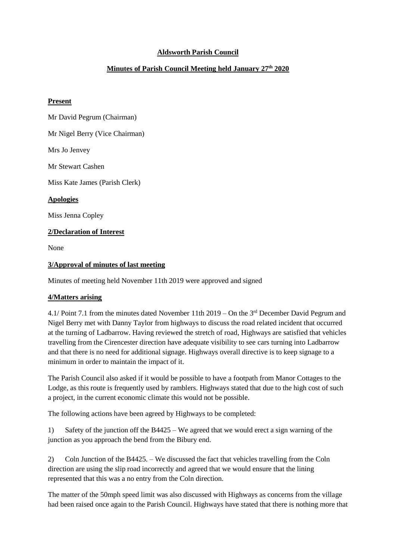# **Aldsworth Parish Council**

# **Minutes of Parish Council Meeting held January 27th 2020**

### **Present**

Mr David Pegrum (Chairman) Mr Nigel Berry (Vice Chairman) Mrs Jo Jenvey Mr Stewart Cashen Miss Kate James (Parish Clerk) **Apologies** Miss Jenna Copley **2/Declaration of Interest** None **3/Approval of minutes of last meeting**

Minutes of meeting held November 11th 2019 were approved and signed

# **4/Matters arising**

4.1/ Point 7.1 from the minutes dated November 11th 2019 – On the 3rd December David Pegrum and Nigel Berry met with Danny Taylor from highways to discuss the road related incident that occurred at the turning of Ladbarrow. Having reviewed the stretch of road, Highways are satisfied that vehicles travelling from the Cirencester direction have adequate visibility to see cars turning into Ladbarrow and that there is no need for additional signage. Highways overall directive is to keep signage to a minimum in order to maintain the impact of it.

The Parish Council also asked if it would be possible to have a footpath from Manor Cottages to the Lodge, as this route is frequently used by ramblers. Highways stated that due to the high cost of such a project, in the current economic climate this would not be possible.

The following actions have been agreed by Highways to be completed:

1) Safety of the junction off the B4425 – We agreed that we would erect a sign warning of the junction as you approach the bend from the Bibury end.

2) Coln Junction of the B4425. – We discussed the fact that vehicles travelling from the Coln direction are using the slip road incorrectly and agreed that we would ensure that the lining represented that this was a no entry from the Coln direction.

The matter of the 50mph speed limit was also discussed with Highways as concerns from the village had been raised once again to the Parish Council. Highways have stated that there is nothing more that